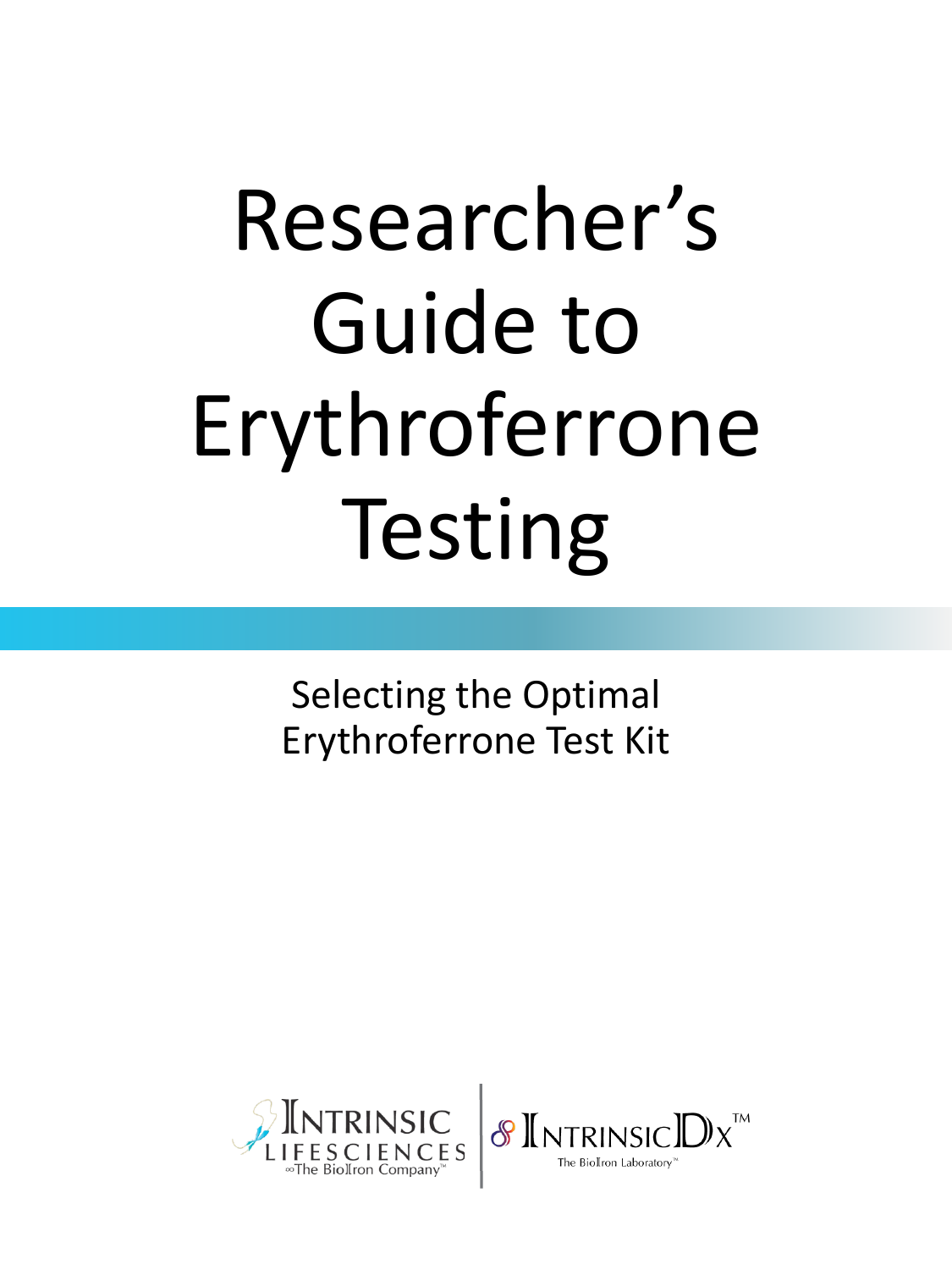# Researcher's Guide to Erythroferrone Testing

Selecting the Optimal Erythroferrone Test Kit



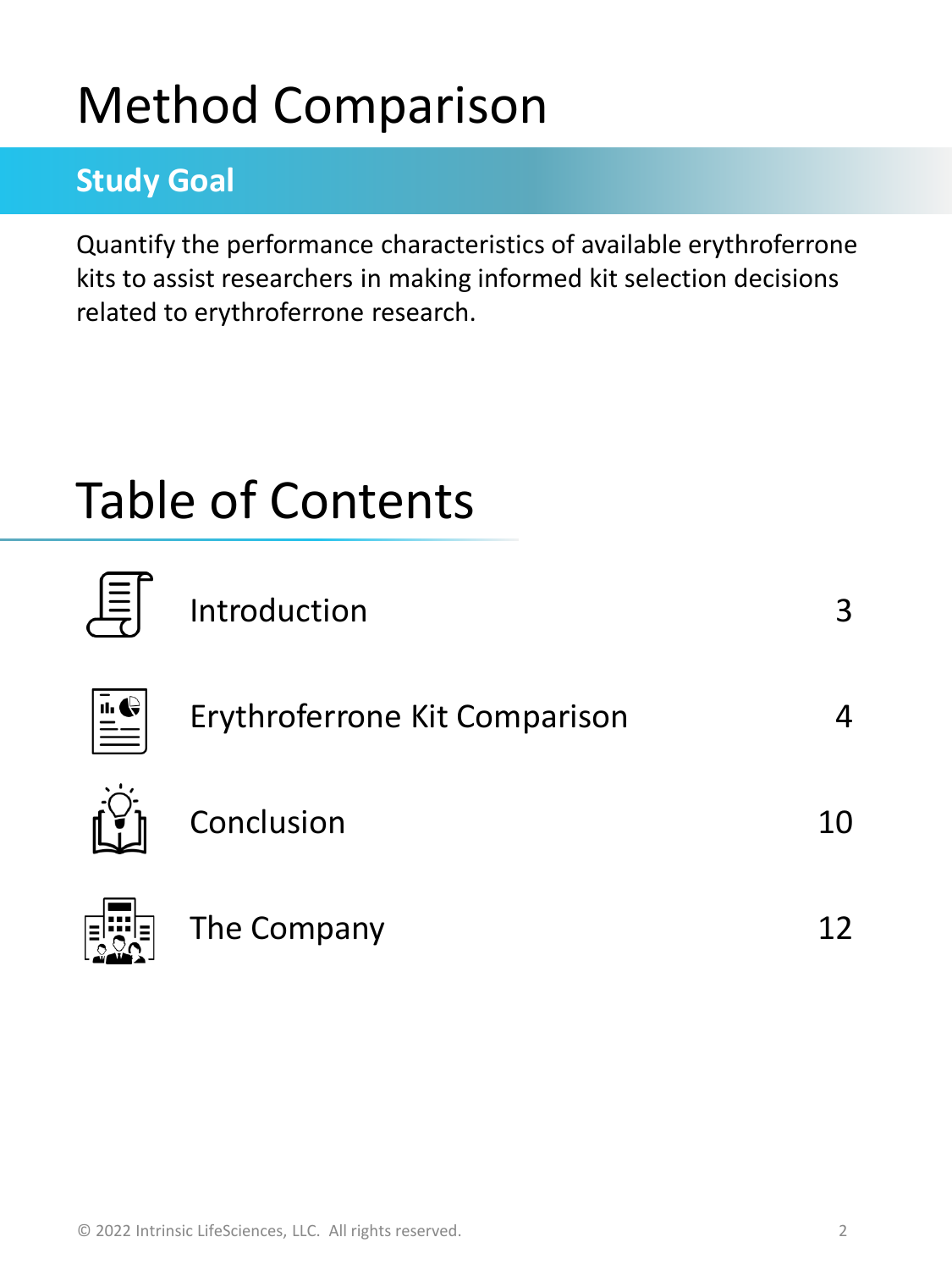## Method Comparison

### **Study Goal**

Quantify the performance characteristics of available erythroferrone kits to assist researchers in making informed kit selection decisions related to erythroferrone research.

## Table of Contents



| Introduction                  | 3  |
|-------------------------------|----|
| Erythroferrone Kit Comparison |    |
| Conclusion                    | 10 |
| The Company                   |    |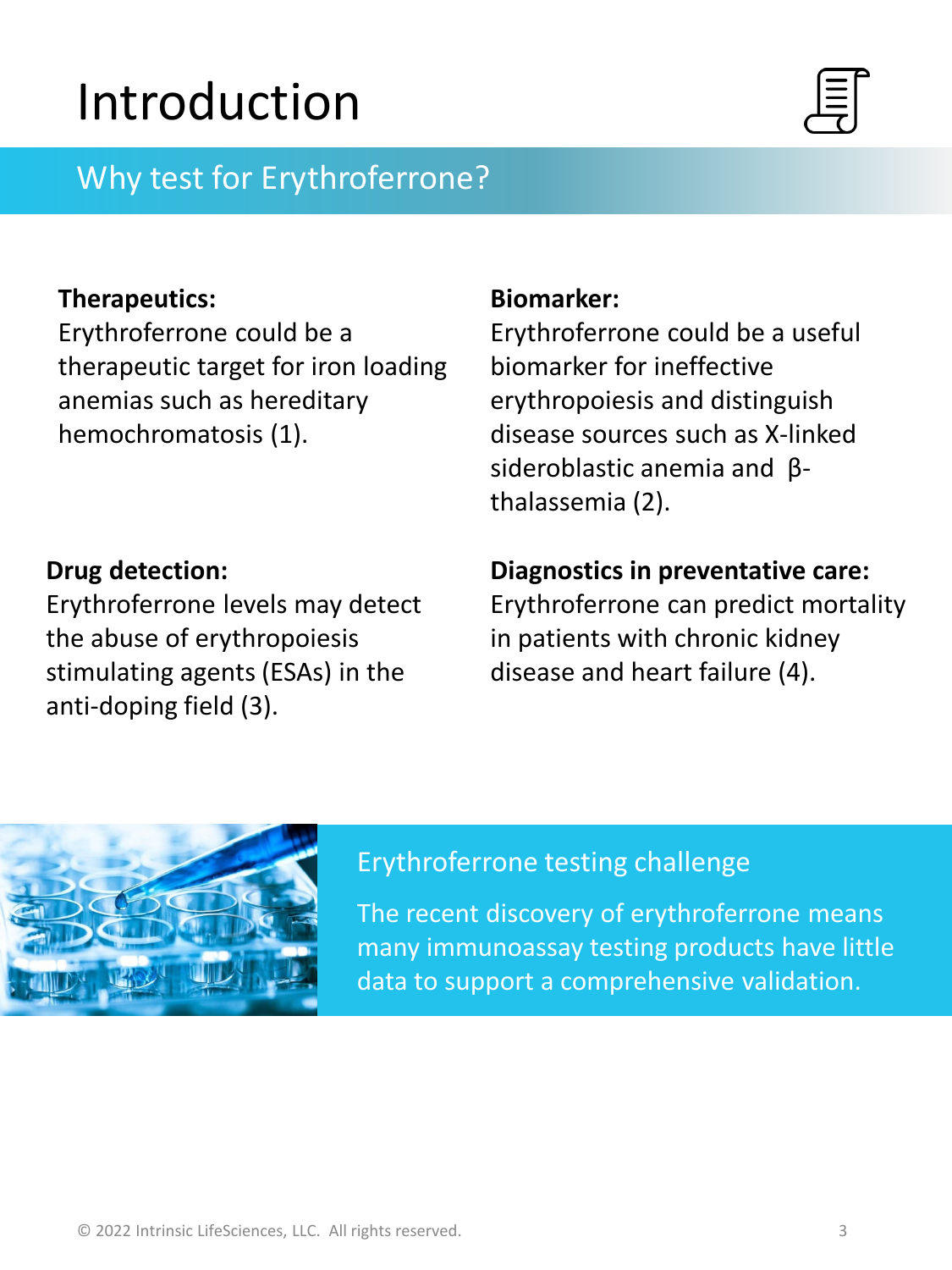## Introduction



### Why test for Erythroferrone?

#### **Therapeutics:**

Erythroferrone could be a therapeutic target for iron loading anemias such as hereditary hemochromatosis (1).

#### **Drug detection:**

Erythroferrone levels may detect the abuse of erythropoiesis stimulating agents (ESAs) in the anti-doping field (3).

#### **Biomarker:**

Erythroferrone could be a useful biomarker for ineffective erythropoiesis and distinguish disease sources such as X-linked sideroblastic anemia and βthalassemia (2).

#### **Diagnostics in preventative care:**

Erythroferrone can predict mortality in patients with chronic kidney disease and heart failure (4).



#### Erythroferrone testing challenge

The recent discovery of erythroferrone means many immunoassay testing products have little data to support a comprehensive validation.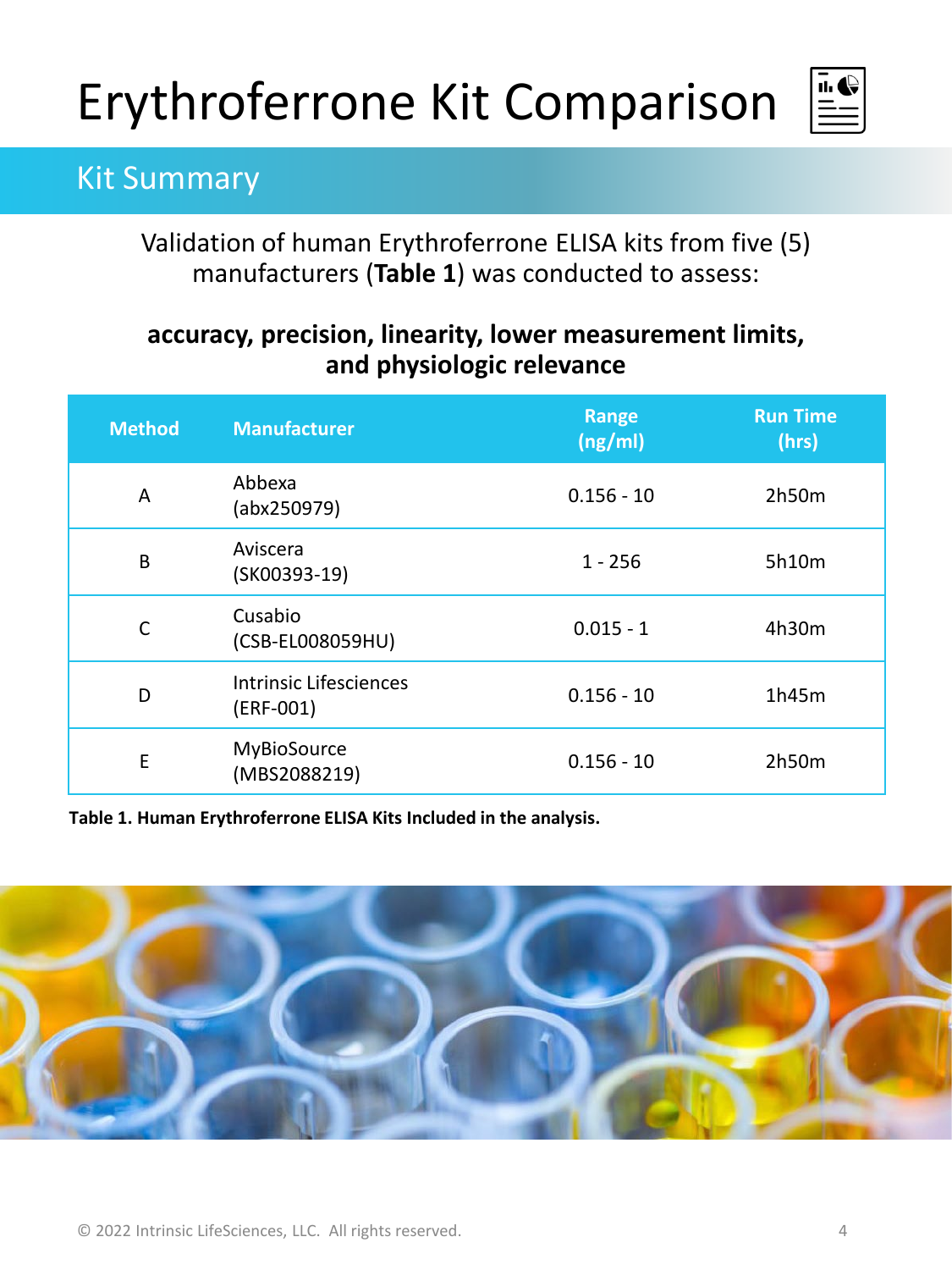

### Kit Summary

Validation of human Erythroferrone ELISA kits from five (5) manufacturers (**Table 1**) was conducted to assess:

#### **accuracy, precision, linearity, lower measurement limits, and physiologic relevance**

| <b>Method</b> | <b>Manufacturer</b>                   | Range<br>(ng/ml) | <b>Run Time</b><br>(hrs) |
|---------------|---------------------------------------|------------------|--------------------------|
| A             | Abbexa<br>(abx250979)                 | $0.156 - 10$     | 2h50m                    |
| B             | Aviscera<br>(SK00393-19)              | $1 - 256$        | 5h10m                    |
| C             | Cusabio<br>(CSB-EL008059HU)           | $0.015 - 1$      | 4h30m                    |
| D             | Intrinsic Lifesciences<br>$(ERF-001)$ | $0.156 - 10$     | 1h45m                    |
| E             | MyBioSource<br>(MBS2088219)           | $0.156 - 10$     | 2h50m                    |

**Table 1. Human Erythroferrone ELISA Kits Included in the analysis.** 

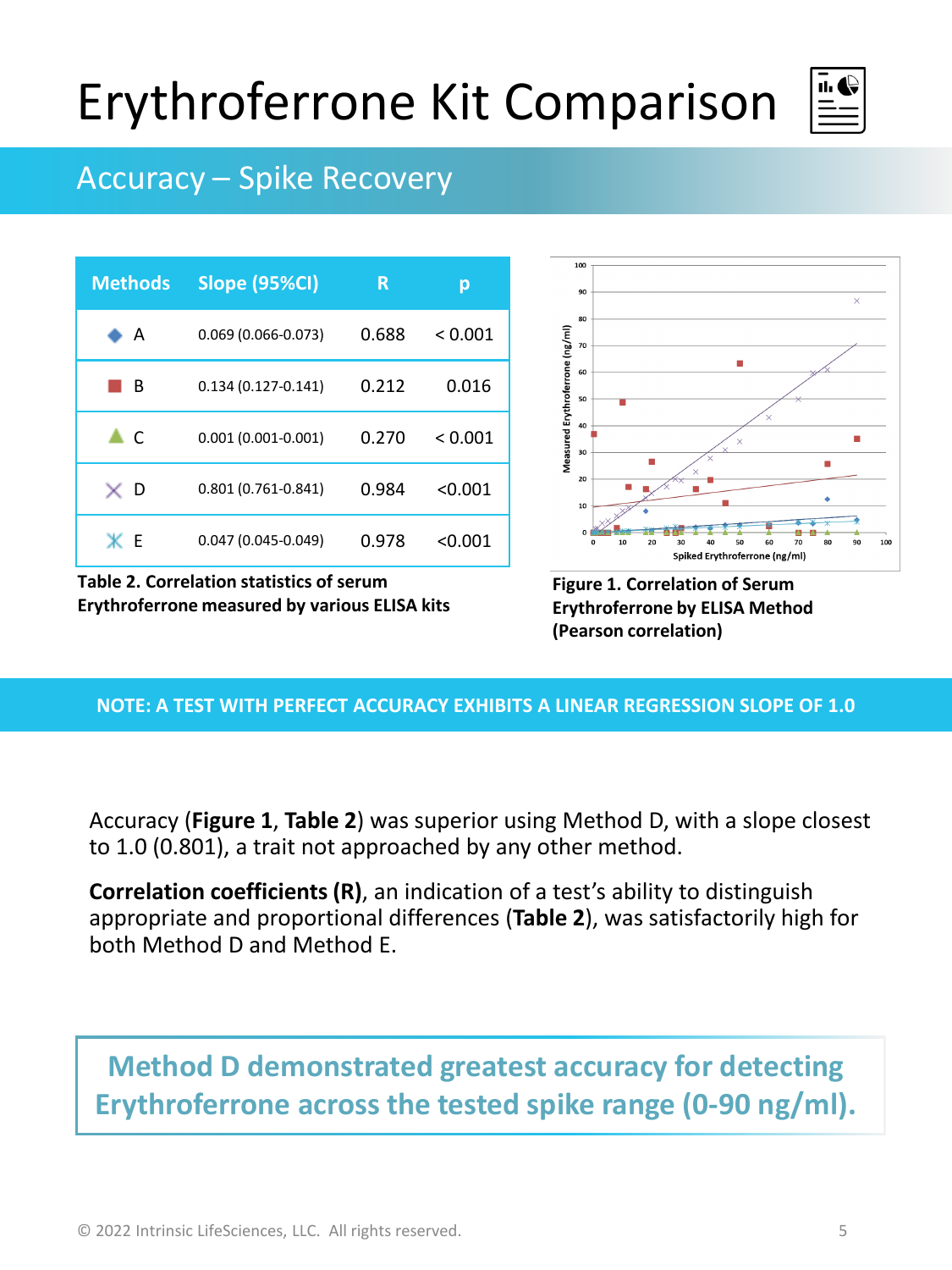

### Accuracy – Spike Recovery

| <b>Methods</b> | <b>Slope (95%CI)</b>   | R     | р       |
|----------------|------------------------|-------|---------|
| ⊧ A            | $0.069(0.066 - 0.073)$ | 0.688 | < 0.001 |
| в              | $0.134(0.127 - 0.141)$ | 0.212 | 0.016   |
| - C            | $0.001(0.001 - 0.001)$ | 0.270 | < 0.001 |
| ×р             | $0.801(0.761 - 0.841)$ | 0.984 | < 0.001 |
| жг             | $0.047(0.045 - 0.049)$ | 0.978 | < 0.001 |

**Table 2. Correlation statistics of serum Erythroferrone measured by various ELISA kits**



**Figure 1. Correlation of Serum Erythroferrone by ELISA Method (Pearson correlation)**

#### **NOTE: A TEST WITH PERFECT ACCURACY EXHIBITS A LINEAR REGRESSION SLOPE OF 1.0**

Accuracy (**Figure 1**, **Table 2**) was superior using Method D, with a slope closest to 1.0 (0.801), a trait not approached by any other method.

**Correlation coefficients (R)**, an indication of a test's ability to distinguish appropriate and proportional differences (**Table 2**), was satisfactorily high for both Method D and Method E.

### **Method D demonstrated greatest accuracy for detecting Erythroferrone across the tested spike range (0-90 ng/ml).**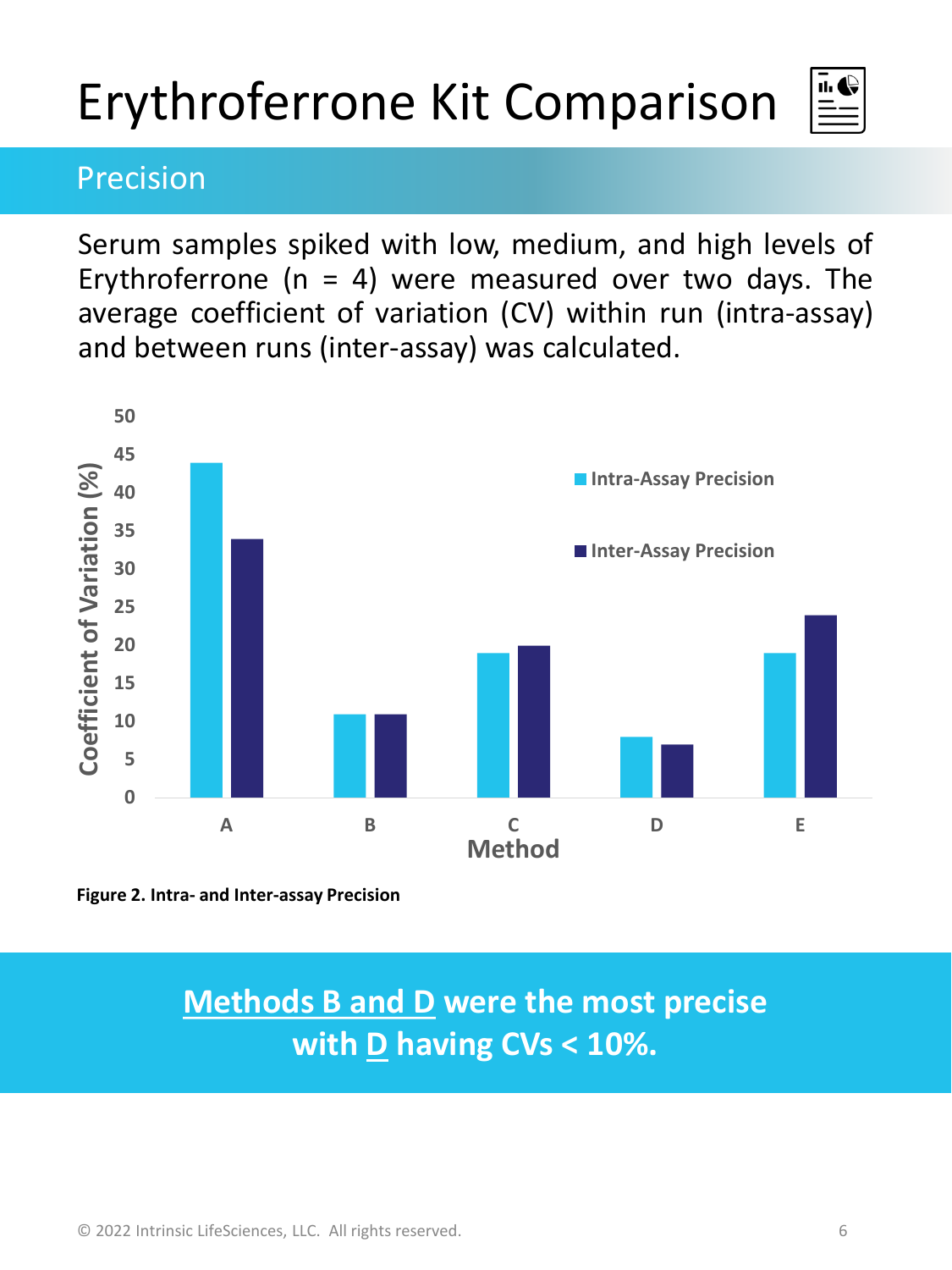### Precision

Serum samples spiked with low, medium, and high levels of Erythroferrone ( $n = 4$ ) were measured over two days. The average coefficient of variation (CV) within run (intra-assay) and between runs (inter-assay) was calculated.





### **Methods B and D were the most precise with D having CVs < 10%.**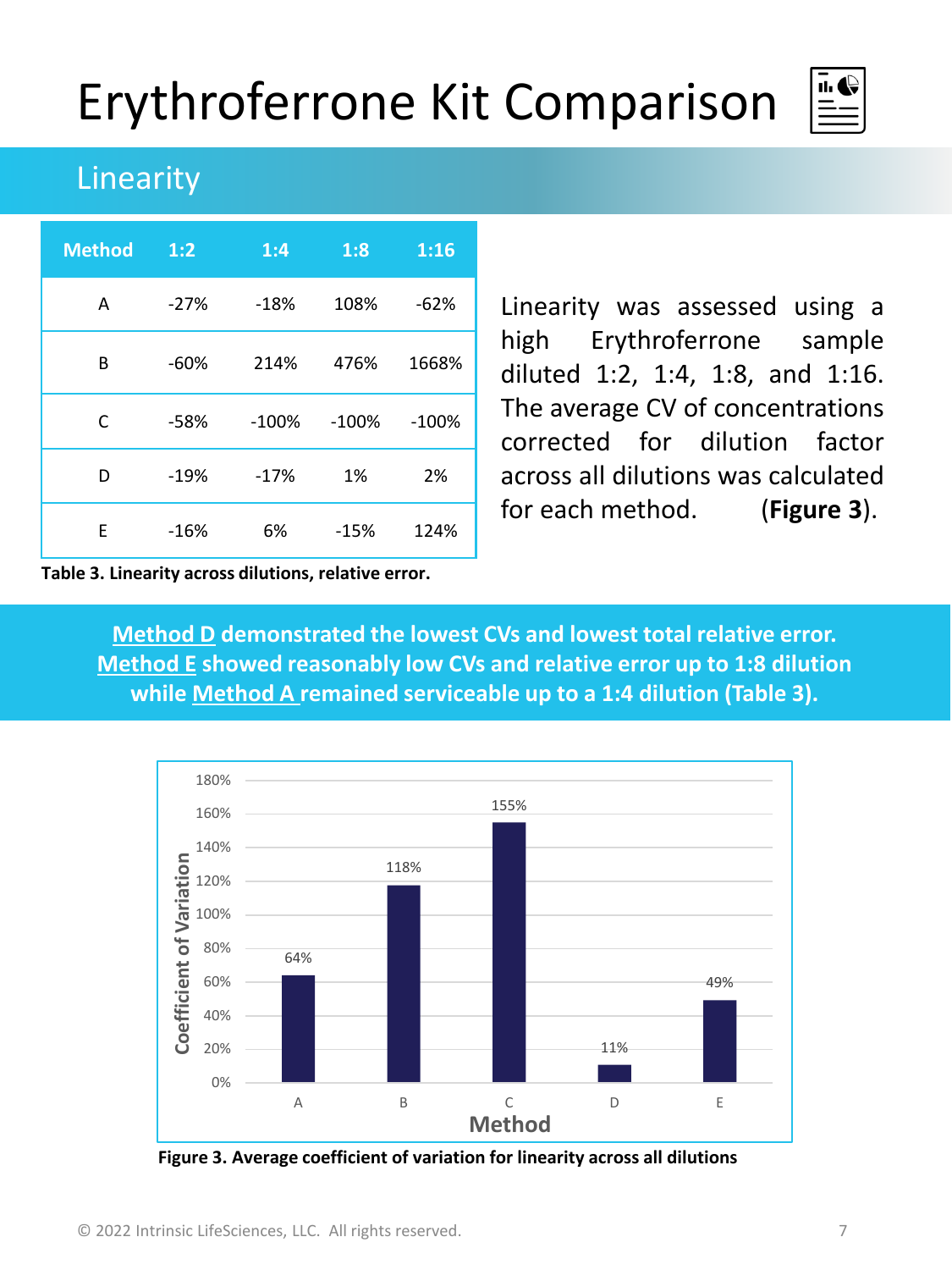

### Linearity

| <b>Method</b> | 1:2    | 1:4     | 1:8     | 1:16    |
|---------------|--------|---------|---------|---------|
| A             | $-27%$ | $-18%$  | 108%    | $-62%$  |
| B             | $-60%$ | 214%    | 476%    | 1668%   |
| C             | $-58%$ | $-100%$ | $-100%$ | $-100%$ |
| D             | $-19%$ | $-17%$  | 1%      | 2%      |
| F             | $-16%$ | 6%      | $-15%$  | 124%    |

Linearity was assessed using a high Erythroferrone sample diluted 1:2, 1:4, 1:8, and 1:16. The average CV of concentrations corrected for dilution factor across all dilutions was calculated for each method. (**Figure 3**).

**Table 3. Linearity across dilutions, relative error.**

**Method D demonstrated the lowest CVs and lowest total relative error. Method E showed reasonably low CVs and relative error up to 1:8 dilution while Method A remained serviceable up to a 1:4 dilution (Table 3).**



**Figure 3. Average coefficient of variation for linearity across all dilutions**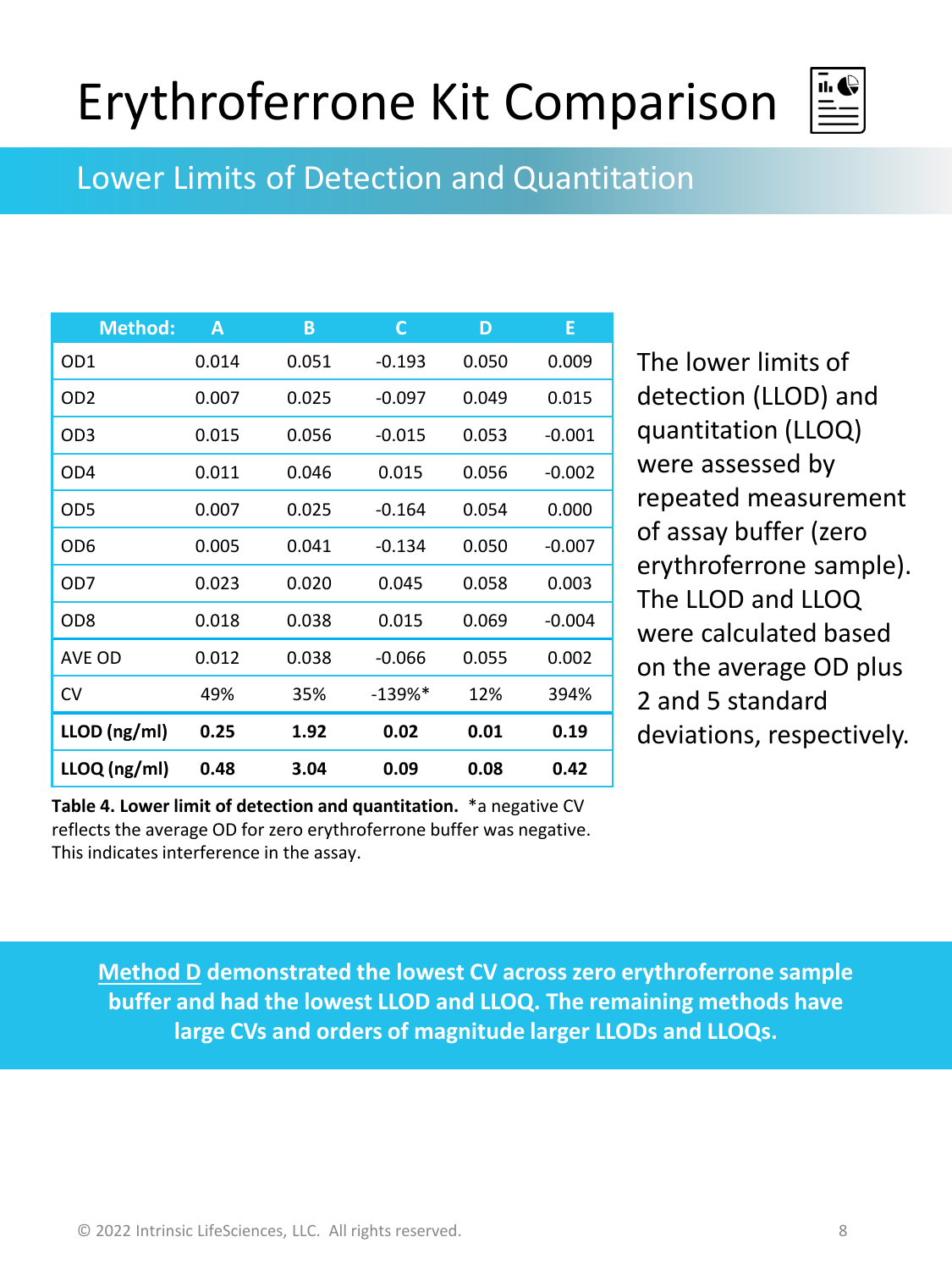

Lower Limits of Detection and Quantitation

| <b>Method:</b>  | A     | В     | С         | D     | E        |
|-----------------|-------|-------|-----------|-------|----------|
| OD1             | 0.014 | 0.051 | $-0.193$  | 0.050 | 0.009    |
| OD <sub>2</sub> | 0.007 | 0.025 | $-0.097$  | 0.049 | 0.015    |
| OD3             | 0.015 | 0.056 | $-0.015$  | 0.053 | $-0.001$ |
| OD4             | 0.011 | 0.046 | 0.015     | 0.056 | $-0.002$ |
| OD5             | 0.007 | 0.025 | $-0.164$  | 0.054 | 0.000    |
| OD6             | 0.005 | 0.041 | $-0.134$  | 0.050 | $-0.007$ |
| OD7             | 0.023 | 0.020 | 0.045     | 0.058 | 0.003    |
| OD8             | 0.018 | 0.038 | 0.015     | 0.069 | $-0.004$ |
| AVE OD          | 0.012 | 0.038 | $-0.066$  | 0.055 | 0.002    |
| CV              | 49%   | 35%   | $-139\%*$ | 12%   | 394%     |
| LLOD (ng/ml)    | 0.25  | 1.92  | 0.02      | 0.01  | 0.19     |
| $LLOQ$ (ng/ml)  | 0.48  | 3.04  | 0.09      | 0.08  | 0.42     |

**Table 4. Lower limit of detection and quantitation.** \*a negative CV reflects the average OD for zero erythroferrone buffer was negative. This indicates interference in the assay.

The lower limits of detection (LLOD) and quantitation (LLOQ) were assessed by repeated measurement of assay buffer (zero erythroferrone sample). The LLOD and LLOQ were calculated based on the average OD plus 2 and 5 standard deviations, respectively.

**Method D demonstrated the lowest CV across zero erythroferrone sample buffer and had the lowest LLOD and LLOQ. The remaining methods have large CVs and orders of magnitude larger LLODs and LLOQs.**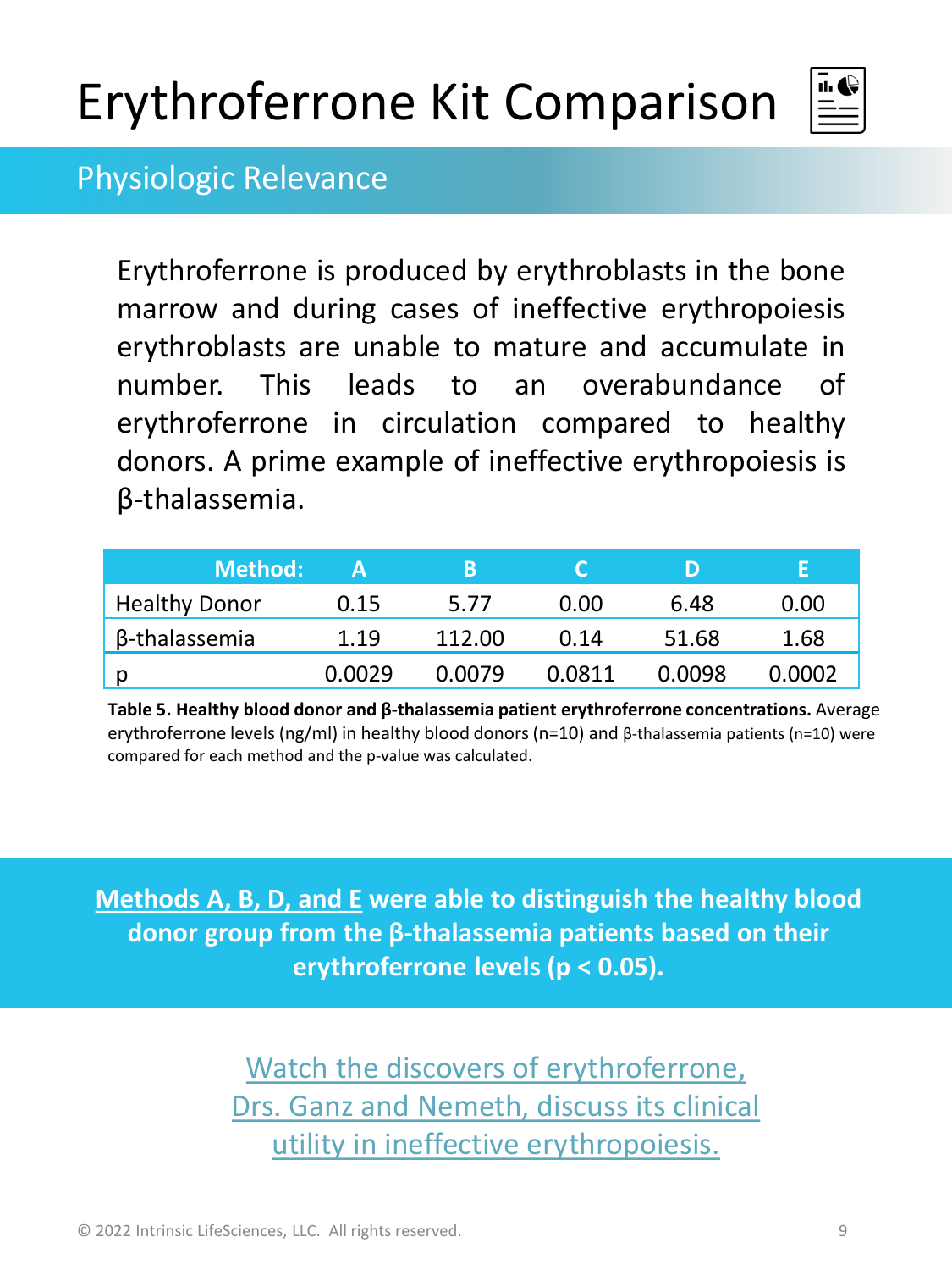

#### Physiologic Relevance

Erythroferrone is produced by erythroblasts in the bone marrow and during cases of ineffective erythropoiesis erythroblasts are unable to mature and accumulate in number. This leads to an overabundance of erythroferrone in circulation compared to healthy donors. A prime example of ineffective erythropoiesis is β-thalassemia.

| <b>Method:</b>       |        | В      |        | נו     |        |
|----------------------|--------|--------|--------|--------|--------|
| <b>Healthy Donor</b> | 0.15   | 5.77   | 0.00   | 6.48   | 0.00   |
| β-thalassemia        | 1.19   | 112.00 | 0.14   | 51.68  | 1.68   |
| . p                  | 0.0029 | 0.0079 | 0.0811 | 0.0098 | 0.0002 |

**Table 5. Healthy blood donor and β-thalassemia patient erythroferrone concentrations.** Average erythroferrone levels (ng/ml) in healthy blood donors (n=10) and β-thalassemia patients (n=10) were compared for each method and the p-value was calculated.

**Methods A, B, D, and E were able to distinguish the healthy blood donor group from the β-thalassemia patients based on their erythroferrone levels (p < 0.05).**

> Watch the discovers of erythroferrone, [Drs. Ganz and Nemeth, discuss its clinical](https://youtu.be/E0eOg7KESzU?t=525) utility in ineffective erythropoiesis.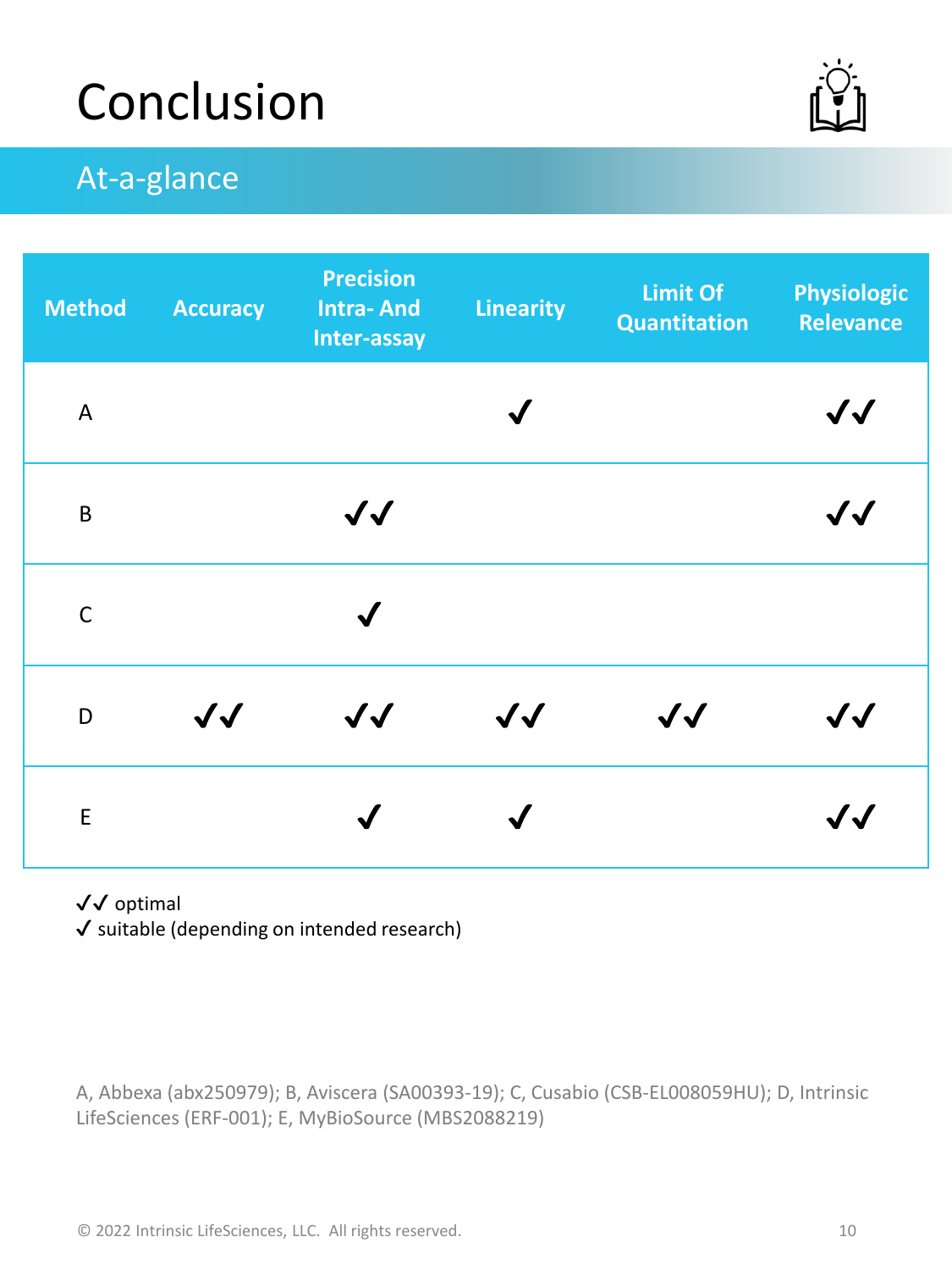## Conclusion



### At-a-glance

| <b>Method</b> | <b>Accuracy</b>   | <b>Precision</b><br><b>Intra-And</b><br>Inter-assay | <b>Linearity</b>  | <b>Limit Of</b><br>Quantitation | <b>Physiologic</b><br><b>Relevance</b> |
|---------------|-------------------|-----------------------------------------------------|-------------------|---------------------------------|----------------------------------------|
| A             |                   |                                                     |                   |                                 | $\boldsymbol{\mathcal{N}}$             |
| B             |                   | $\sqrt{\sqrt{2}}$                                   |                   |                                 | $\boldsymbol{\mathcal{N}}$             |
| $\mathsf{C}$  |                   | $\checkmark$                                        |                   |                                 |                                        |
| D             | $\sqrt{\sqrt{2}}$ | $\sqrt{\sqrt{2}}$                                   | $\sqrt{\sqrt{2}}$ | $\sqrt{\sqrt{2}}$               | $\boldsymbol{\mathcal{N}}$             |
| $\mathsf E$   |                   |                                                     |                   |                                 | $\bm{J}$                               |

#### ✔✔ optimal

✔ suitable (depending on intended research)

A, Abbexa (abx250979); B, Aviscera (SA00393-19); C, Cusabio (CSB-EL008059HU); D, Intrinsic LifeSciences (ERF-001); E, MyBioSource (MBS2088219)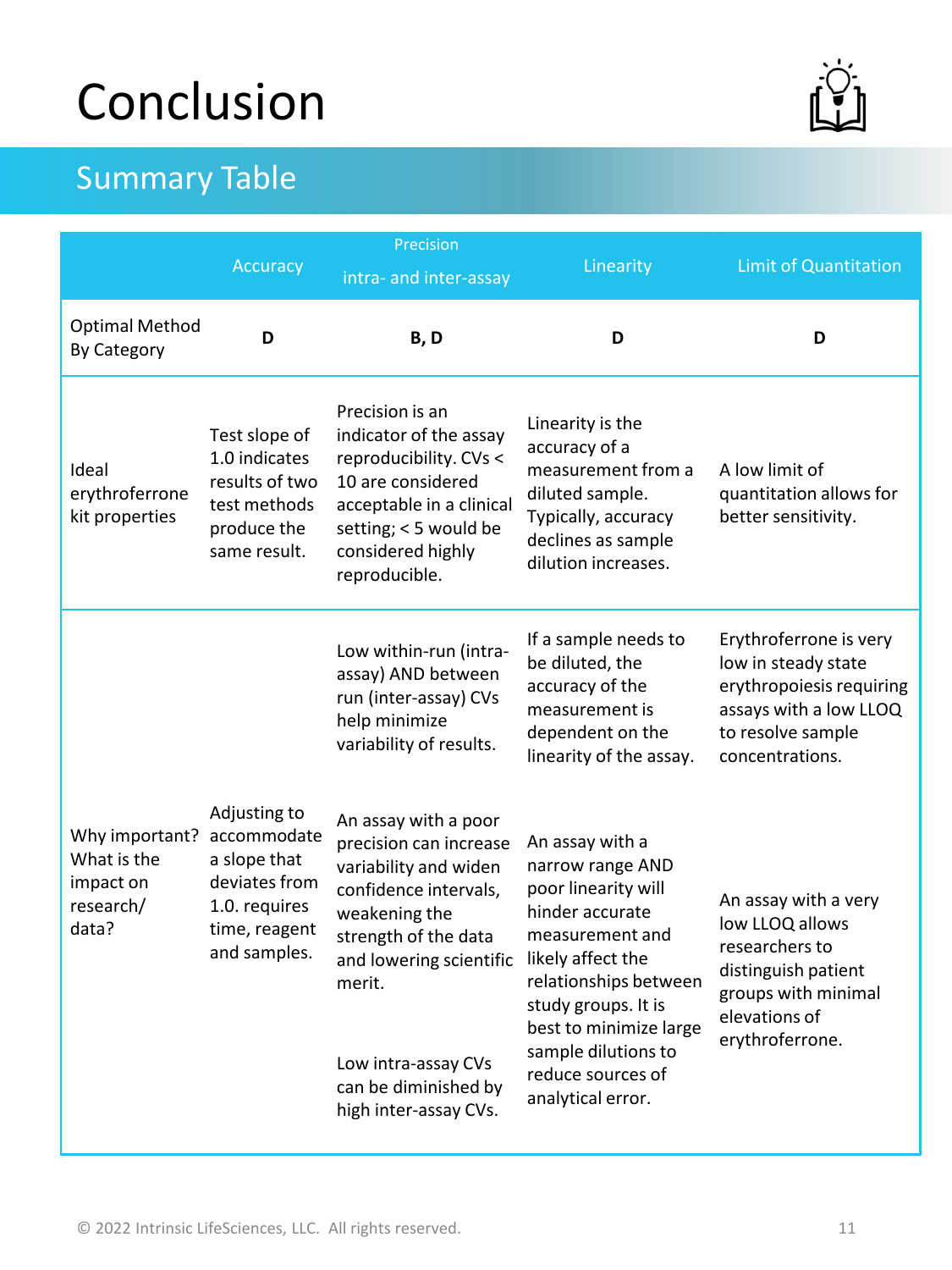## Conclusion

### Summary Table

| -<br>ſL<br>ı |
|--------------|
|              |

|                                                                  | Accuracy                                                                                                       | Precision<br>intra- and inter-assay                                                                                                                                                                                                                    | Linearity                                                                                                                                                                                                                                                        | <b>Limit of Quantitation</b>                                                                                                                |
|------------------------------------------------------------------|----------------------------------------------------------------------------------------------------------------|--------------------------------------------------------------------------------------------------------------------------------------------------------------------------------------------------------------------------------------------------------|------------------------------------------------------------------------------------------------------------------------------------------------------------------------------------------------------------------------------------------------------------------|---------------------------------------------------------------------------------------------------------------------------------------------|
| <b>Optimal Method</b><br>By Category                             | D                                                                                                              | B, D                                                                                                                                                                                                                                                   | D                                                                                                                                                                                                                                                                | D                                                                                                                                           |
| Ideal<br>erythroferrone<br>kit properties                        | Test slope of<br>1.0 indicates<br>results of two<br>test methods<br>produce the<br>same result.                | Precision is an<br>indicator of the assay<br>reproducibility. CVs <<br>10 are considered<br>acceptable in a clinical<br>setting; < 5 would be<br>considered highly<br>reproducible.                                                                    | Linearity is the<br>accuracy of a<br>measurement from a<br>diluted sample.<br>Typically, accuracy<br>declines as sample<br>dilution increases.                                                                                                                   | A low limit of<br>quantitation allows for<br>better sensitivity.                                                                            |
|                                                                  |                                                                                                                | Low within-run (intra-<br>assay) AND between<br>run (inter-assay) CVs<br>help minimize<br>variability of results.                                                                                                                                      | If a sample needs to<br>be diluted, the<br>accuracy of the<br>measurement is<br>dependent on the<br>linearity of the assay.                                                                                                                                      | Erythroferrone is very<br>low in steady state<br>erythropoiesis requiring<br>assays with a low LLOQ<br>to resolve sample<br>concentrations. |
| Why important?<br>What is the<br>impact on<br>research/<br>data? | Adjusting to<br>accommodate<br>a slope that<br>deviates from<br>1.0. requires<br>time, reagent<br>and samples. | An assay with a poor<br>precision can increase<br>variability and widen<br>confidence intervals,<br>weakening the<br>strength of the data<br>and lowering scientific<br>merit.<br>Low intra-assay CVs<br>can be diminished by<br>high inter-assay CVs. | An assay with a<br>narrow range AND<br>poor linearity will<br>hinder accurate<br>measurement and<br>likely affect the<br>relationships between<br>study groups. It is<br>best to minimize large<br>sample dilutions to<br>reduce sources of<br>analytical error. | An assay with a very<br>low LLOQ allows<br>researchers to<br>distinguish patient<br>groups with minimal<br>elevations of<br>erythroferrone. |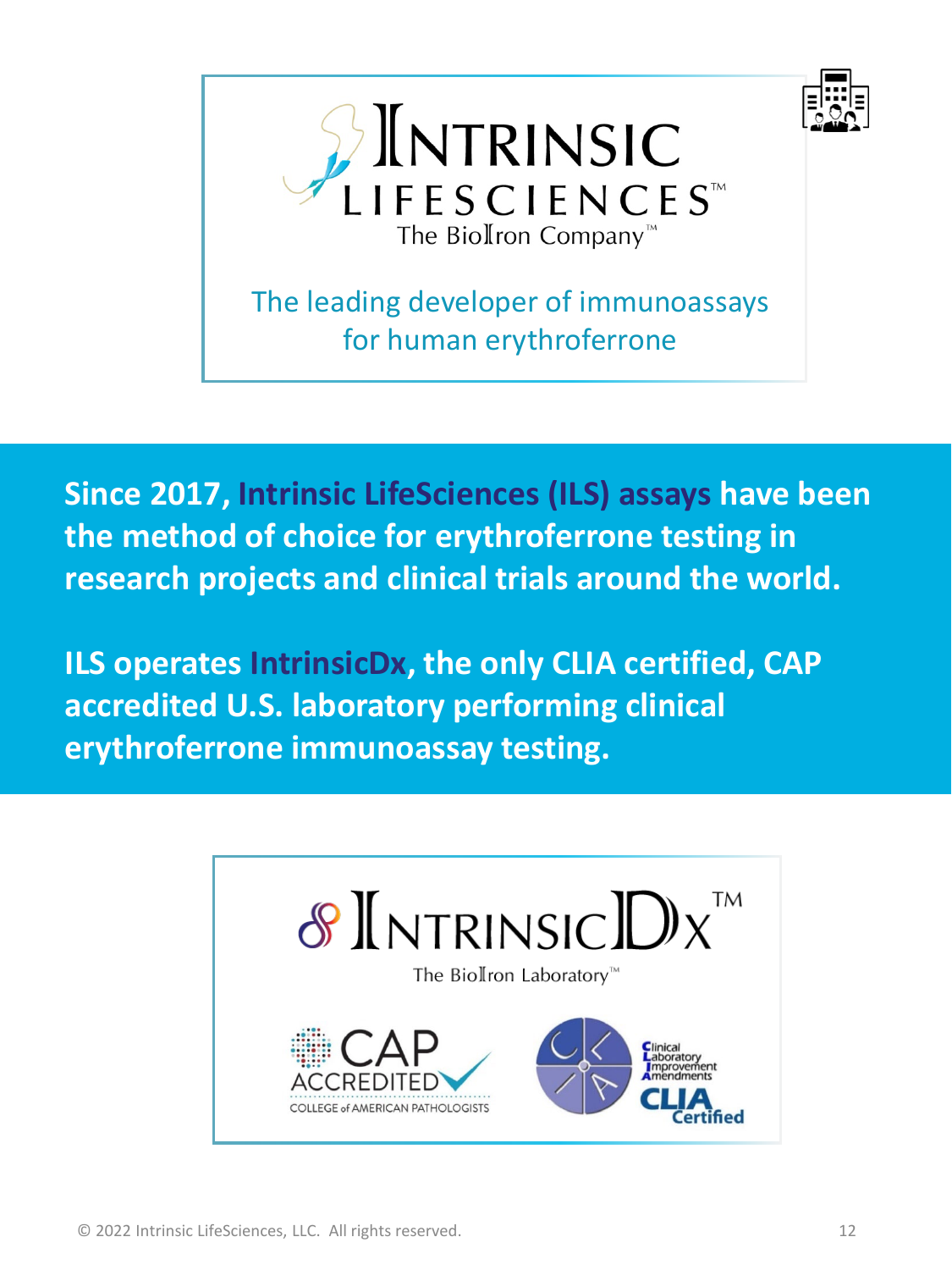



The leading developer of immunoassays for human erythroferrone

**Since 2017, Intrinsic LifeSciences (ILS) assays have been the method of choice for erythroferrone testing in research projects and clinical trials around the world.** 

**ILS operates IntrinsicDx, the only CLIA certified, CAP accredited U.S. laboratory performing clinical erythroferrone immunoassay testing.**

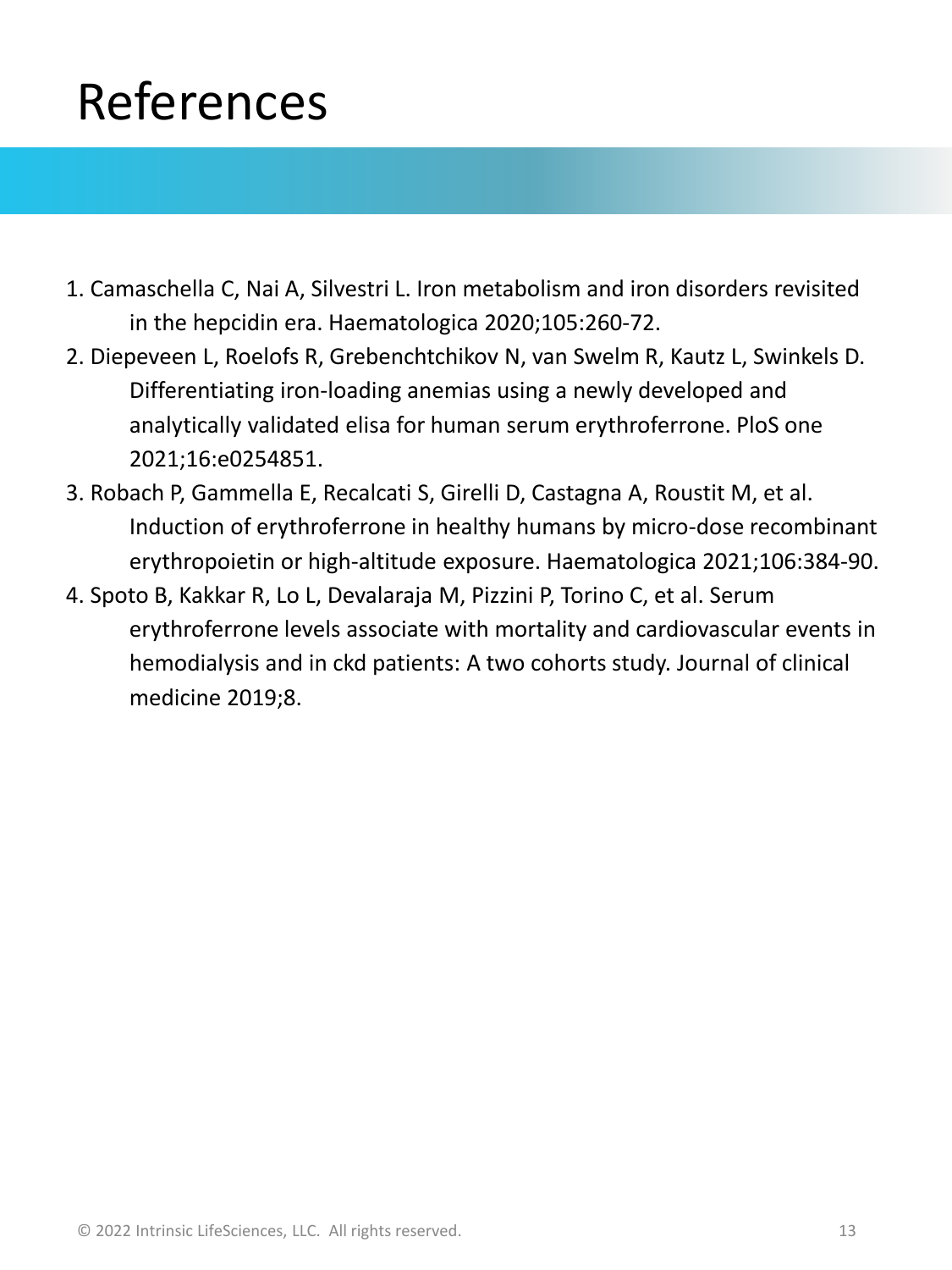## References

- 1. Camaschella C, Nai A, Silvestri L. Iron metabolism and iron disorders revisited in the hepcidin era. Haematologica 2020;105:260-72.
- 2. Diepeveen L, Roelofs R, Grebenchtchikov N, van Swelm R, Kautz L, Swinkels D. Differentiating iron-loading anemias using a newly developed and analytically validated elisa for human serum erythroferrone. PloS one 2021;16:e0254851.
- 3. Robach P, Gammella E, Recalcati S, Girelli D, Castagna A, Roustit M, et al. Induction of erythroferrone in healthy humans by micro-dose recombinant erythropoietin or high-altitude exposure. Haematologica 2021;106:384-90.
- 4. Spoto B, Kakkar R, Lo L, Devalaraja M, Pizzini P, Torino C, et al. Serum erythroferrone levels associate with mortality and cardiovascular events in hemodialysis and in ckd patients: A two cohorts study. Journal of clinical medicine 2019;8.